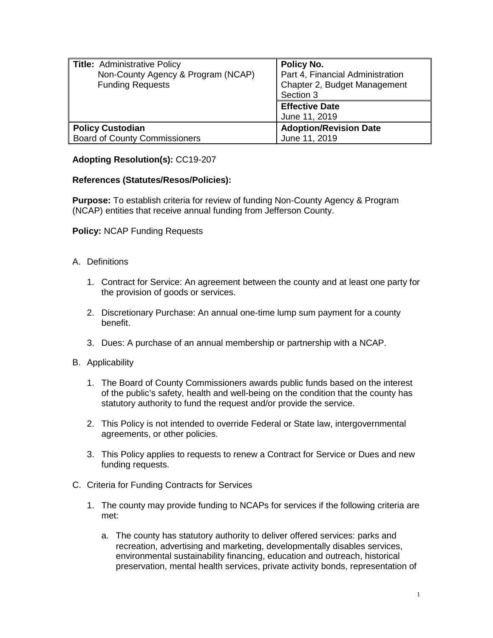| <b>Title: Administrative Policy</b><br>Non-County Agency & Program (NCAP)<br><b>Funding Requests</b> | <b>Policy No.</b><br>Part 4, Financial Administration<br>Chapter 2, Budget Management<br>Section 3<br><b>Effective Date</b> |
|------------------------------------------------------------------------------------------------------|-----------------------------------------------------------------------------------------------------------------------------|
|                                                                                                      | June 11, 2019                                                                                                               |
| <b>Policy Custodian</b>                                                                              | <b>Adoption/Revision Date</b>                                                                                               |
| <b>Board of County Commissioners</b>                                                                 | June 11, 2019                                                                                                               |

## **Adopting Resolution(s):** CC19-207

## **References (Statutes/Resos/Policies):**

**Purpose:** To establish criteria for review of funding Non-County Agency & Program (NCAP) entities that receive annual funding from Jefferson County.

**Policy:** NCAP Funding Requests

- A. Definitions
	- 1. Contract for Service: An agreement between the county and at least one party for the provision of goods or services.
	- 2. Discretionary Purchase: An annual one-time lump sum payment for a county benefit.
	- 3. Dues: A purchase of an annual membership or partnership with a NCAP.
- B. Applicability
	- 1. The Board of County Commissioners awards public funds based on the interest of the public's safety, health and well-being on the condition that the county has statutory authority to fund the request and/or provide the service.
	- 2. This Policy is not intended to override Federal or State law, intergovernmental agreements, or other policies.
	- 3. This Policy applies to requests to renew a Contract for Service or Dues and new funding requests.
- C. Criteria for Funding Contracts for Services
	- 1. The county may provide funding to NCAPs for services if the following criteria are met:
		- a. The county has statutory authority to deliver offered services: parks and recreation, advertising and marketing, developmentally disables services, environmental sustainability financing, education and outreach, historical preservation, mental health services, private activity bonds, representation of